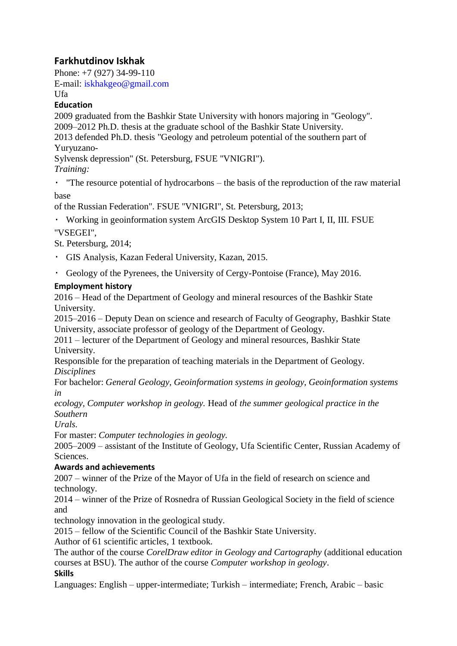# **Farkhutdinov Iskhak**

Phone: +7 (927) 34-99-110 E-mail: iskhakgeo@gmail.com

Ufa

#### **Education**

2009 graduated from the Bashkir State University with honors majoring in "Geology". 2009–2012 Ph.D. thesis at the graduate school of the Bashkir State University. 2013 defended Ph.D. thesis "Geology and petroleum potential of the southern part of

Yuryuzano-

Sylvensk depression" (St. Petersburg, FSUE "VNIGRI").

### *Training:*

"The resource potential of hydrocarbons – the basis of the reproduction of the raw material base

of the Russian Federation". FSUE "VNIGRI", St. Petersburg, 2013;

Working in geoinformation system ArcGIS Desktop System 10 Part I, II, III. FSUE "VSEGEI",

St. Petersburg, 2014;

- GIS Analysis, Kazan Federal University, Kazan, 2015.
- Geology of the Pyrenees, the University of Cergy-Pontoise (France), May 2016.

## **Employment history**

2016 – Head of the Department of Geology and mineral resources of the Bashkir State University.

2015–2016 – Deputy Dean on science and research of Faculty of Geography, Bashkir State University, associate professor of geology of the Department of Geology.

2011 – lecturer of the Department of Geology and mineral resources, Bashkir State University.

Responsible for the preparation of teaching materials in the Department of Geology. *Disciplines*

For bachelor: *General Geology, Geoinformation systems in geology, Geoinformation systems in*

*ecology, Computer workshop in geology.* Head of *the summer geological practice in the Southern*

*Urals.*

For master: *Computer technologies in geology.*

2005–2009 – assistant of the Institute of Geology, Ufa Scientific Center, Russian Academy of Sciences.

### **Awards and achievements**

2007 – winner of the Prize of the Mayor of Ufa in the field of research on science and technology.

2014 – winner of the Prize of Rosnedra of Russian Geological Society in the field of science and

technology innovation in the geological study.

2015 – fellow of the Scientific Council of the Bashkir State University.

Author of 61 scientific articles, 1 textbook.

The author of the course *CorelDraw editor in Geology and Cartography* (additional education courses at BSU). The author of the course *Computer workshop in geology*.

### **Skills**

Languages: English – upper-intermediate; Turkish – intermediate; French, Arabic – basic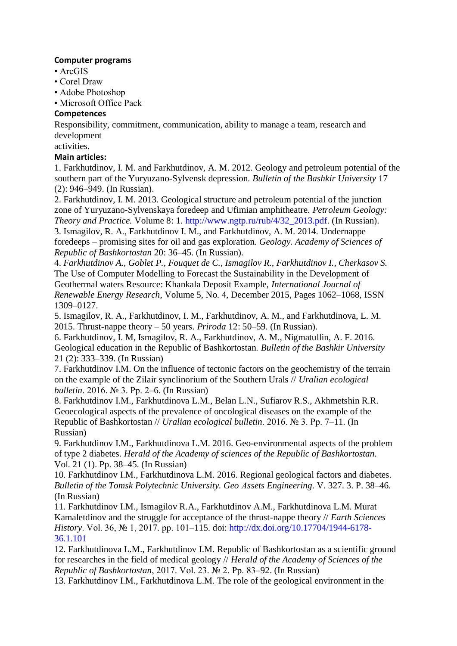#### **Computer programs**

- ArcGIS
- Corel Draw
- Adobe Photoshop
- Microsoft Office Pack

#### **Competences**

Responsibility, commitment, communication, ability to manage a team, research and development

activities.

#### **Main articles:**

1. Farkhutdinov, I. M. and Farkhutdinov, A. M. 2012. Geology and petroleum potential of the southern part of the Yuryuzano-Sylvensk depression. *Bulletin of the Bashkir University* 17 (2): 946–949. (In Russian).

2. Farkhutdinov, I. M. 2013. Geological structure and petroleum potential of the junction zone of Yuryuzano-Sylvenskaya foredeep and Ufimian amphitheatre. *Petroleum Geology: Theory and Practice.* Volume 8: 1. http://www.ngtp.ru/rub/4/32\_2013.pdf. (In Russian).

3. Ismagilov, R. A., Farkhutdinov I. M., and Farkhutdinov, A. M. 2014. Undernappe foredeeps – promising sites for oil and gas exploration. *Geology. Academy of Sciences of Republic of Bashkortostan* 20: 36–45. (In Russian).

4. *Farkhutdinov A., Goblet P., Fouquet de C., Ismagilov R., Farkhutdinov I., Cherkasov S.* The Use of Computer Modelling to Forecast the Sustainability in the Development of Geothermal waters Resource: Khankala Deposit Example, *International Journal of Renewable Energy Research*, Volume 5, No. 4, December 2015, Pages 1062–1068, ISSN 1309–0127.

5. Ismagilov, R. A., Farkhutdinov, I. M., Farkhutdinov, A. M., and Farkhutdinova, L. M. 2015. Thrust-nappe theory – 50 years. *Priroda* 12: 50–59. (In Russian).

6. Farkhutdinov, I. M, Ismagilov, R. A., Farkhutdinov, A. M., Nigmatullin, A. F. 2016. Geological education in the Republic of Bashkortostan. *Bulletin of the Bashkir University* 21 (2): 333–339. (In Russian)

7. Farkhutdinov I.M. On the influence of tectonic factors on the geochemistry of the terrain on the example of the Zilair synclinorium of the Southern Urals // *Uralian ecological bulletin*. 2016. № 3. Pp. 2–6. (In Russian)

8. Farkhutdinov I.M., Farkhutdinova L.M., Belan L.N., Sufiarov R.S., Akhmetshin R.R. Geoecological aspects of the prevalence of oncological diseases on the example of the Republic of Bashkortostan // *Uralian ecological bulletin*. 2016. № 3. Pp. 7–11. (In Russian)

9. Farkhutdinov I.M., Farkhutdinova L.M. 2016. Geo-environmental aspects of the problem of type 2 diabetes. *Herald of the Academy of sciences of the Republic of Bashkortostan*. Vol. 21 (1). Pp. 38–45. (In Russian)

10. Farkhutdinov I.M., Farkhutdinova L.M. 2016. Regional geological factors and diabetes. *Bulletin of the Tomsk Polytechnic University. Geo Аssets Engineering*. V. 327. 3. Р. 38–46. (In Russian)

11. Farkhutdinov I.M., Ismagilov R.A., Farkhutdinov A.M., Farkhutdinova L.M. Murat Kamaletdinov and the struggle for acceptance of the thrust-nappe theory // *Earth Sciences History*. Vol. 36, № 1, 2017. pp. 101–115. doi: http://dx.doi.org/10.17704/1944-6178-36.1.101

12. Farkhutdinova L.M., Farkhutdinov I.M. Republic of Bashkortostan as a scientific ground for researches in the field of medical geology // *Herald of the Academy of Sciences of the Republic of Bashkortostan*, 2017. Vol. 23. № 2. Pp. 83–92. (In Russian)

13. Farkhutdinov I.M., Farkhutdinova L.M. The role of the geological environment in the